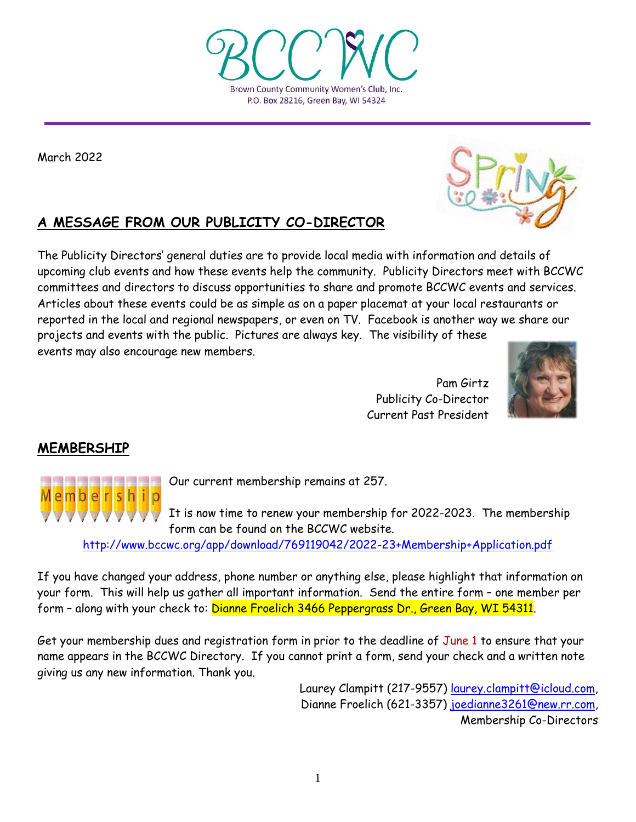Pam Girtz Publicity Co-Director Current Past President

# **MEMBERSHIP**

Our current membership remains at 257.

It is now time to renew your membership for 2022-2023. The membership form can be found on the BCCWC website.

[http://www.bccwc.org/app/download/769119042/2022](http://www.bccwc.org/app/download/769119042/2022-23+Membership+Application.pdf)-23+Membership+Application.pdf

If you have changed your address, phone number or anything else, please highlight that information on your form. This will help us gather all important information. Send the entire form – one member per form - along with your check to: Dianne Froelich 3466 Peppergrass Dr., Green Bay, WI 54311.

Get your membership dues and registration form in prior to the deadline of June 1 to ensure that your name appears in the BCCWC Directory. If you cannot print a form, send your check and a written note giving us any new information. Thank you.

> Laurey Clampitt (217-9557) [laurey.clampitt@icloud.com,](mailto:laurey.clampitt@icloud.com) Dianne Froelich (621-3357) [joedianne3261@new.rr.com,](mailto:joedianne3261@new.rr.com) Membership Co-Directors

March 2022

# **A MESSAGE FROM OUR PUBLICITY CO-DIRECTOR**

The Publicity Directors' general duties are to provide local media with information and details of upcoming club events and how these events help the community. Publicity Directors meet with BCCWC committees and directors to discuss opportunities to share and promote BCCWC events and services. Articles about these events could be as simple as on a paper placemat at your local restaurants or reported in the local and regional newspapers, or even on TV. Facebook is another way we share our projects and events with the public. Pictures are always key. The visibility of these events may also encourage new members.





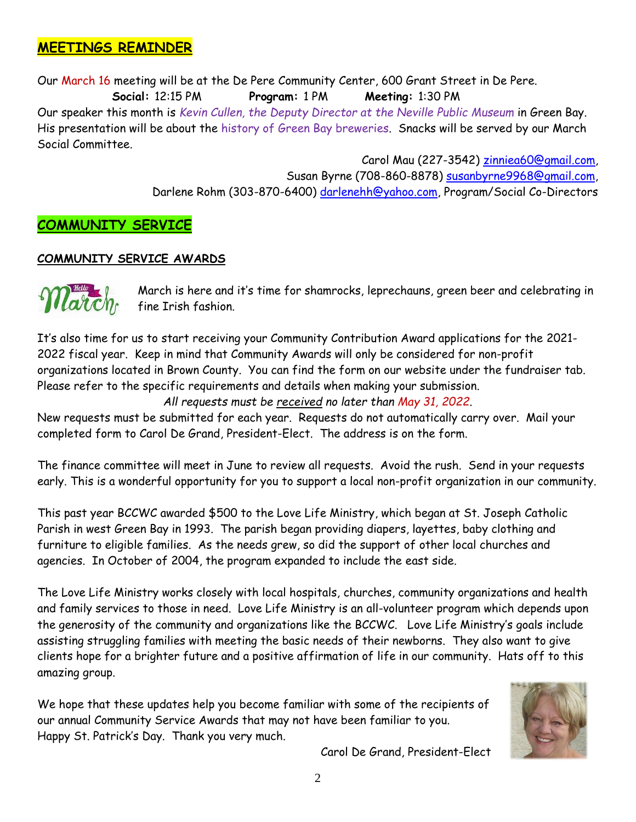## **MEETINGS REMINDER**

Our March 16 meeting will be at the De Pere Community Center, 600 Grant Street in De Pere.  **Social:** 12:15 PM **Program:** 1 PM **Meeting:** 1:30 PM Our speaker this month is *Kevin Cullen, the Deputy Director at the Neville Public Museum* in Green Bay. His presentation will be about the history of Green Bay breweries. Snacks will be served by our March Social Committee.

> Carol Mau (227-3542) [zinniea60@gmail.com,](mailto:zinniea60@gmail.com) Susan Byrne (708-860-8878) [susanbyrne9968@gmail.com,](mailto:susanbyrne9968@gmail.com) Darlene Rohm (303-870-6400) [darlenehh@yahoo.com,](mailto:darlenehh@yahoo.com) Program/Social Co-Directors

## **COMMUNITY SERVICE**

#### **COMMUNITY SERVICE AWARDS**



March is here and it's time for shamrocks, leprechauns, green beer and celebrating in fine Irish fashion.

It's also time for us to start receiving your Community Contribution Award applications for the 2021- 2022 fiscal year. Keep in mind that Community Awards will only be considered for non-profit organizations located in Brown County. You can find the form on our website under the fundraiser tab. Please refer to the specific requirements and details when making your submission.

*All requests must be received no later than May 31, 2022*.

New requests must be submitted for each year. Requests do not automatically carry over. Mail your completed form to Carol De Grand, President-Elect. The address is on the form.

The finance committee will meet in June to review all requests. Avoid the rush. Send in your requests early. This is a wonderful opportunity for you to support a local non-profit organization in our community.

This past year BCCWC awarded \$500 to the Love Life Ministry, which began at St. Joseph Catholic Parish in west Green Bay in 1993. The parish began providing diapers, layettes, baby clothing and furniture to eligible families. As the needs grew, so did the support of other local churches and agencies. In October of 2004, the program expanded to include the east side.

The Love Life Ministry works closely with local hospitals, churches, community organizations and health and family services to those in need. Love Life Ministry is an all-volunteer program which depends upon the generosity of the community and organizations like the BCCWC. Love Life Ministry's goals include assisting struggling families with meeting the basic needs of their newborns. They also want to give clients hope for a brighter future and a positive affirmation of life in our community. Hats off to this amazing group.

We hope that these updates help you become familiar with some of the recipients of our annual Community Service Awards that may not have been familiar to you. Happy St. Patrick's Day. Thank you very much.



Carol De Grand, President-Elect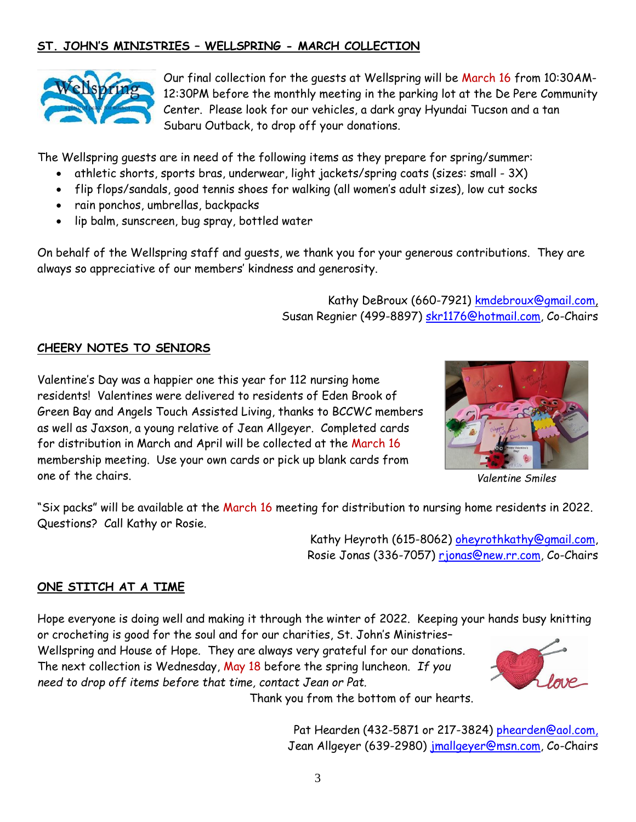## **ST. JOHN'S MINISTRIES – WELLSPRING - MARCH COLLECTION**



Our final collection for the guests at Wellspring will be March 16 from 10:30AM-12:30PM before the monthly meeting in the parking lot at the De Pere Community Center. Please look for our vehicles, a dark gray Hyundai Tucson and a tan Subaru Outback, to drop off your donations.

The Wellspring guests are in need of the following items as they prepare for spring/summer:

- athletic shorts, sports bras, underwear, light jackets/spring coats (sizes: small 3X)
- flip flops/sandals, good tennis shoes for walking (all women's adult sizes), low cut socks
- rain ponchos, umbrellas, backpacks
- lip balm, sunscreen, bug spray, bottled water

On behalf of the Wellspring staff and guests, we thank you for your generous contributions. They are always so appreciative of our members' kindness and generosity.

> Kathy DeBroux (660-7921) [kmdebroux@gmail.com,](mailto:kmdebroux@gmail.com) Susan Regnier (499-8897) [skr1176@hotmail.com,](mailto:skr1176@hotmail.com) Co-Chairs

## **CHEERY NOTES TO SENIORS**

Valentine's Day was a happier one this year for 112 nursing home residents! Valentines were delivered to residents of Eden Brook of Green Bay and Angels Touch Assisted Living, thanks to BCCWC members as well as Jaxson, a young relative of Jean Allgeyer. Completed cards for distribution in March and April will be collected at the March 16 membership meeting. Use your own cards or pick up blank cards from one of the chairs.



*Valentine Smiles*

"Six packs" will be available at the March 16 meeting for distribution to nursing home residents in 2022. Questions? Call Kathy or Rosie.

> Kathy Heyroth (615-8062) [oheyrothkathy@gmail.com,](mailto:oheyrothkathy@gmail.com) Rosie Jonas (336-7057) [rjonas@new.rr.com,](mailto:rjonas@new.rr.com) Co-Chairs

## **ONE STITCH AT A TIME**

Hope everyone is doing well and making it through the winter of 2022. Keeping your hands busy knitting or crocheting is good for the soul and for our charities, St. John's Ministries– Wellspring and House of Hope. They are always very grateful for our donations. The next collection is Wednesday, May 18 before the spring luncheon. *If you need to drop off items before that time, contact Jean or Pat.* 

Thank you from the bottom of our hearts.

Pat Hearden (432-5871 or 217-3824) [phearden@aol.com,](mailto:phearden@aol.com) Jean Allgeyer (639-2980) [jmallgeyer@msn.com,](mailto:jmallgeyer@msn.com) Co-Chairs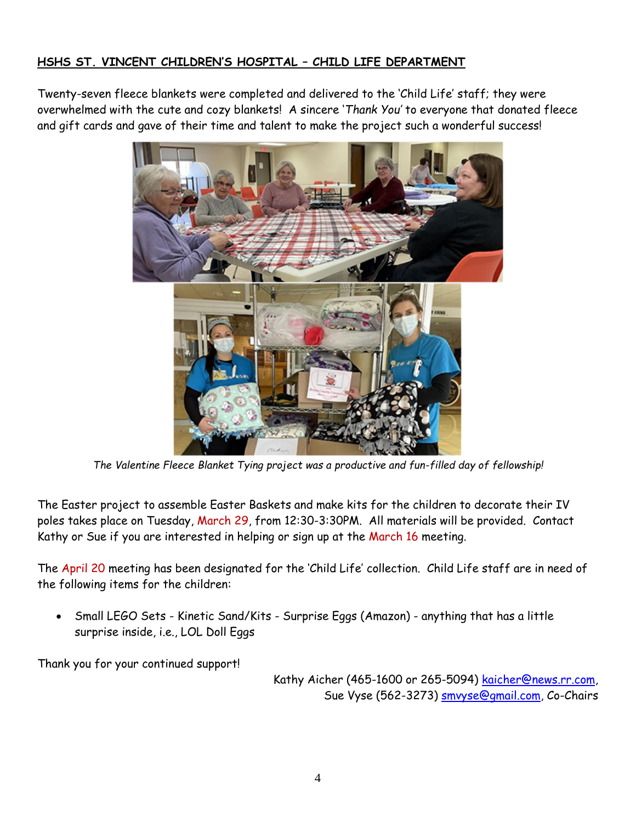## **HSHS ST. VINCENT CHILDREN'S HOSPITAL – CHILD LIFE DEPARTMENT**

Twenty-seven fleece blankets were completed and delivered to the 'Child Life' staff; they were overwhelmed with the cute and cozy blankets! A sincere '*Thank You'* to everyone that donated fleece and gift cards and gave of their time and talent to make the project such a wonderful success!



*The Valentine Fleece Blanket Tying project was a productive and fun-filled day of fellowship!*

The Easter project to assemble Easter Baskets and make kits for the children to decorate their IV poles takes place on Tuesday, March 29, from 12:30-3:30PM. All materials will be provided. Contact Kathy or Sue if you are interested in helping or sign up at the March 16 meeting.

The April 20 meeting has been designated for the 'Child Life' collection. Child Life staff are in need of the following items for the children:

• Small LEGO Sets - Kinetic Sand/Kits - Surprise Eggs (Amazon) - anything that has a little surprise inside, i.e., LOL Doll Eggs

Thank you for your continued support!

Kathy Aicher (465-1600 or 265-5094) [kaicher@news.rr.com,](mailto:kaicher@news.rr.com) Sue Vyse (562-3273) **smvyse@gmail.com**, Co-Chairs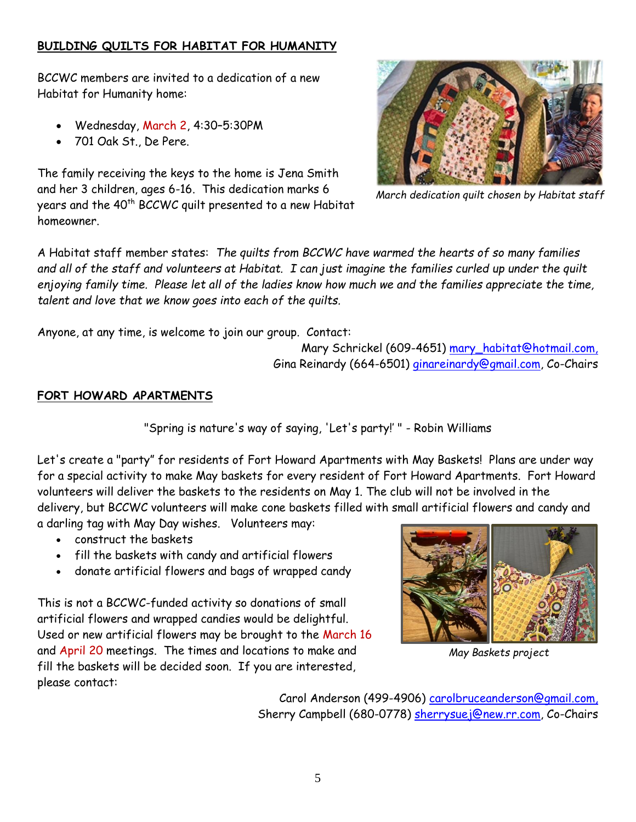## **BUILDING QUILTS FOR HABITAT FOR HUMANITY**

BCCWC members are invited to a dedication of a new Habitat for Humanity home:

- Wednesday, March 2, 4:30–5:30PM
- 701 Oak St., De Pere.

The family receiving the keys to the home is Jena Smith and her 3 children, ages 6-16. This dedication marks 6 years and the 40<sup>th</sup> BCCWC quilt presented to a new Habitat homeowner.



*March dedication quilt chosen by Habitat staff*

A Habitat staff member states: *The quilts from BCCWC have warmed the hearts of so many families and all of the staff and volunteers at Habitat. I can just imagine the families curled up under the quilt enjoying family time. Please let all of the ladies know how much we and the families appreciate the time, talent and love that we know goes into each of the quilts.*

Anyone, at any time, is welcome to join our group. Contact:

Mary Schrickel (609-4651) [mary\\_habitat@hotmail.com,](mailto:mary_habitat@hotmail.com) Gina Reinardy (664-6501) [ginareinardy@gmail.com, Co](mailto:ginareinardy@gmail.com,%20Co-Chairs)-Chairs

#### **FORT HOWARD APARTMENTS**

"Spring is nature's way of saying, 'Let's party!' " - Robin Williams

Let's create a "party" for residents of Fort Howard Apartments with May Baskets! Plans are under way for a special activity to make May baskets for every resident of Fort Howard Apartments. Fort Howard volunteers will deliver the baskets to the residents on May 1. The club will not be involved in the delivery, but BCCWC volunteers will make cone baskets filled with small artificial flowers and candy and a darling tag with May Day wishes. Volunteers may:

- construct the baskets
- fill the baskets with candy and artificial flowers
- donate artificial flowers and bags of wrapped candy

This is not a BCCWC-funded activity so donations of small artificial flowers and wrapped candies would be delightful. Used or new artificial flowers may be brought to the March 16 and April 20 meetings. The times and locations to make and fill the baskets will be decided soon. If you are interested, please contact:



*May Baskets project*

Carol Anderson (499-4906) [carolbruceanderson@gmail.com,](mailto:carolbruceanderson@gmail.com) Sherry Campbell (680-0778) [sherrysuej@new.rr.com,](mailto:sherrysuej@new.rr.com) Co-Chairs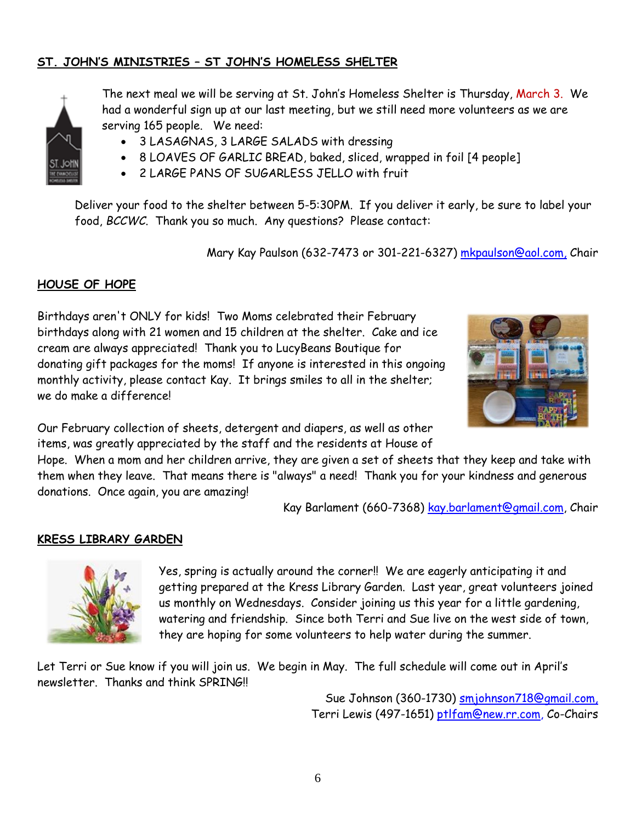## **ST. JOHN'S MINISTRIES – ST JOHN'S HOMELESS SHELTER**



The next meal we will be serving at St. John's Homeless Shelter is Thursday, March 3. We had a wonderful sign up at our last meeting, but we still need more volunteers as we are serving 165 people. We need:

- 3 LASAGNAS, 3 LARGE SALADS with dressing
- 8 LOAVES OF GARLIC BREAD, baked, sliced, wrapped in foil [4 people]
- 2 LARGE PANS OF SUGARLESS JELLO with fruit

Deliver your food to the shelter between 5-5:30PM. If you deliver it early, be sure to label your food, *BCCWC*. Thank you so much. Any questions? Please contact:

Mary Kay Paulson (632-7473 or 301-221-6327) [mkpaulson@aol.com,](mailto:mkpaulson@aol.com) Chair

## **HOUSE OF HOPE**

Birthdays aren't ONLY for kids! Two Moms celebrated their February birthdays along with 21 women and 15 children at the shelter. Cake and ice cream are always appreciated! Thank you to LucyBeans Boutique for donating gift packages for the moms! If anyone is interested in this ongoing monthly activity, please contact Kay. It brings smiles to all in the shelter; we do make a difference!



Our February collection of sheets, detergent and diapers, as well as other items, was greatly appreciated by the staff and the residents at House of

Hope. When a mom and her children arrive, they are given a set of sheets that they keep and take with them when they leave. That means there is "always" a need! Thank you for your kindness and generous donations. Once again, you are amazing!

Kay Barlament (660-7368) [kay.barlament@gmail.com,](mailto:kay.barlament@gmail.com) Chair

#### **KRESS LIBRARY GARDEN**



Yes, spring is actually around the corner!! We are eagerly anticipating it and getting prepared at the Kress Library Garden. Last year, great volunteers joined us monthly on Wednesdays. Consider joining us this year for a little gardening, watering and friendship. Since both Terri and Sue live on the west side of town, they are hoping for some volunteers to help water during the summer.

Let Terri or Sue know if you will join us. We begin in May. The full schedule will come out in April's newsletter. Thanks and think SPRING!!

> Sue Johnson (360-1730) [smjohnson718@gmail.com,](mailto:smjohnson718@gmail.com) Terri Lewis (497-1651) [ptlfam@new.rr.com,](mailto:ptlfam@new.rr.com) Co-Chairs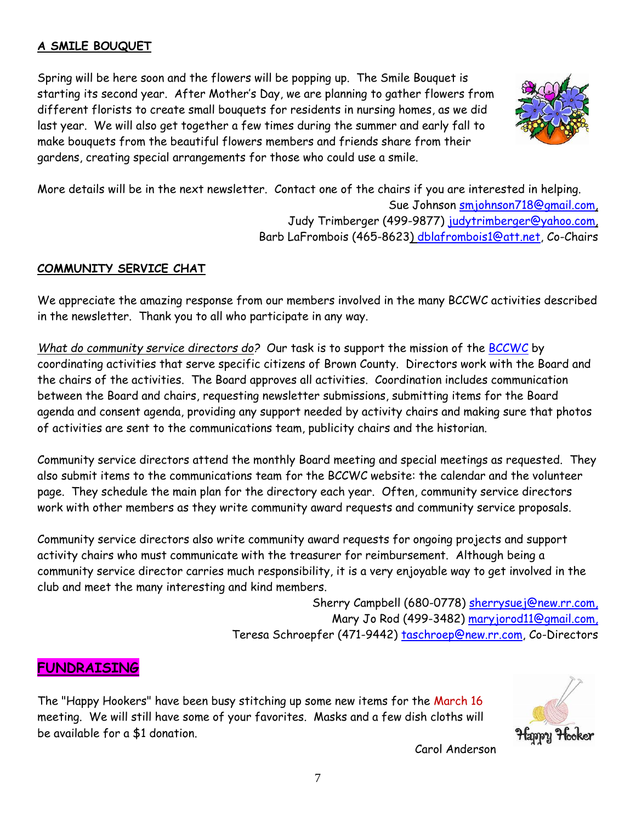## **A SMILE BOUQUET**

Spring will be here soon and the flowers will be popping up. The Smile Bouquet is starting its second year. After Mother's Day, we are planning to gather flowers from different florists to create small bouquets for residents in nursing homes, as we did last year. We will also get together a few times during the summer and early fall to make bouquets from the beautiful flowers members and friends share from their gardens, creating special arrangements for those who could use a smile.



More details will be in the next newsletter. Contact one of the chairs if you are interested in helping.

Sue Johnson [smjohnson718@gmail.com,](mailto:smjohnson718@gmail.com) Judy Trimberger (499-9877) judytrimberger@yahoo.com, Barb LaFrombois (465-8623) [dblafrombois1@att.net,](mailto:dblafrombois1@att.net) Co-Chairs

## **COMMUNITY SERVICE CHAT**

We appreciate the amazing response from our members involved in the many BCCWC activities described in the newsletter. Thank you to all who participate in any way.

*What do community service directors do?* Our task is to support the mission of the [BCCWC](http://bccwc.org/) by coordinating activities that serve specific citizens of Brown County. Directors work with the Board and the chairs of the activities. The Board approves all activities. Coordination includes communication between the Board and chairs, requesting newsletter submissions, submitting items for the Board agenda and consent agenda, providing any support needed by activity chairs and making sure that photos of activities are sent to the communications team, publicity chairs and the historian.

Community service directors attend the monthly Board meeting and special meetings as requested. They also submit items to the communications team for the BCCWC website: the calendar and the volunteer page. They schedule the main plan for the directory each year. Often, community service directors work with other members as they write community award requests and community service proposals.

Community service directors also write community award requests for ongoing projects and support activity chairs who must communicate with the treasurer for reimbursement. Although being a community service director carries much responsibility, it is a very enjoyable way to get involved in the club and meet the many interesting and kind members.

> Sherry Campbell (680-0778) [sherrysuej@new.rr.com,](mailto:sherrysuej@new.rr.com) Mary Jo Rod (499-3482) [maryjorod11@gmail.com,](mailto:maryjorod11@gmail.com) Teresa Schroepfer (471-9442) [taschroep@new.rr.com,](mailto:taschroep@new.rr.com) Co-Directors

# **FUNDRAISING**

The "Happy Hookers" have been busy stitching up some new items for the March 16 meeting. We will still have some of your favorites. Masks and a few dish cloths will be available for a \$1 donation.



Carol Anderson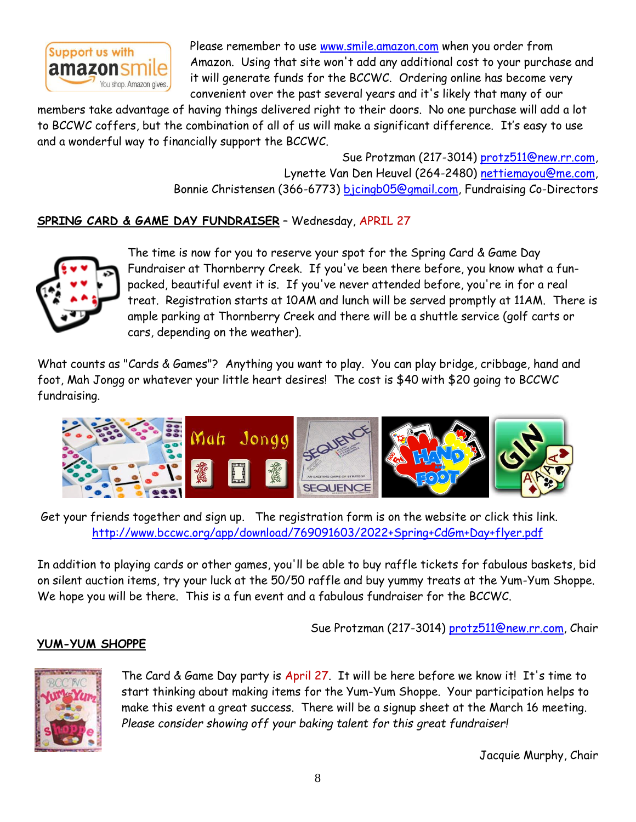

Please remember to use [www.smile.amazon.com](http://www.smile.amazon.com/) when you order from Amazon. Using that site won't add any additional cost to your purchase and it will generate funds for the BCCWC. Ordering online has become very convenient over the past several years and it's likely that many of our

members take advantage of having things delivered right to their doors. No one purchase will add a lot to BCCWC coffers, but the combination of all of us will make a significant difference. It's easy to use and a wonderful way to financially support the BCCWC.

> Sue Protzman (217-3014) [protz511@new.rr.com,](mailto:protz511@new.rr.com) Lynette Van Den Heuvel (264-2480) [nettiemayou@me.com,](mailto:nettiemayou@me.com) Bonnie Christensen (366-6773) [bjcingb05@gmail.com,](mailto:bjcingb05@gmail.com) Fundraising Co-Directors

## **SPRING CARD & GAME DAY FUNDRAISER** – Wednesday, APRIL 27



The time is now for you to reserve your spot for the Spring Card & Game Day Fundraiser at Thornberry Creek. If you've been there before, you know what a funpacked, beautiful event it is. If you've never attended before, you're in for a real treat. Registration starts at 10AM and lunch will be served promptly at 11AM. There is ample parking at Thornberry Creek and there will be a shuttle service (golf carts or cars, depending on the weather).

What counts as "Cards & Games"? Anything you want to play. You can play bridge, cribbage, hand and foot, Mah Jongg or whatever your little heart desires! The cost is \$40 with \$20 going to BCCWC fundraising.



Get your friends together and sign up. The registration form is on the website or click this link. <http://www.bccwc.org/app/download/769091603/2022+Spring+CdGm+Day+flyer.pdf>

In addition to playing cards or other games, you'll be able to buy raffle tickets for fabulous baskets, bid on silent auction items, try your luck at the 50/50 raffle and buy yummy treats at the Yum-Yum Shoppe. We hope you will be there. This is a fun event and a fabulous fundraiser for the BCCWC.

Sue Protzman (217-3014) [protz511@new.rr.com,](mailto:protz511@new.rr.com) Chair

## **YUM-YUM SHOPPE**



The Card & Game Day party is April 27. It will be here before we know it! It's time to start thinking about making items for the Yum-Yum Shoppe. Your participation helps to make this event a great success. There will be a signup sheet at the March 16 meeting. *Please consider showing off your baking talent for this great fundraiser!*

Jacquie Murphy, Chair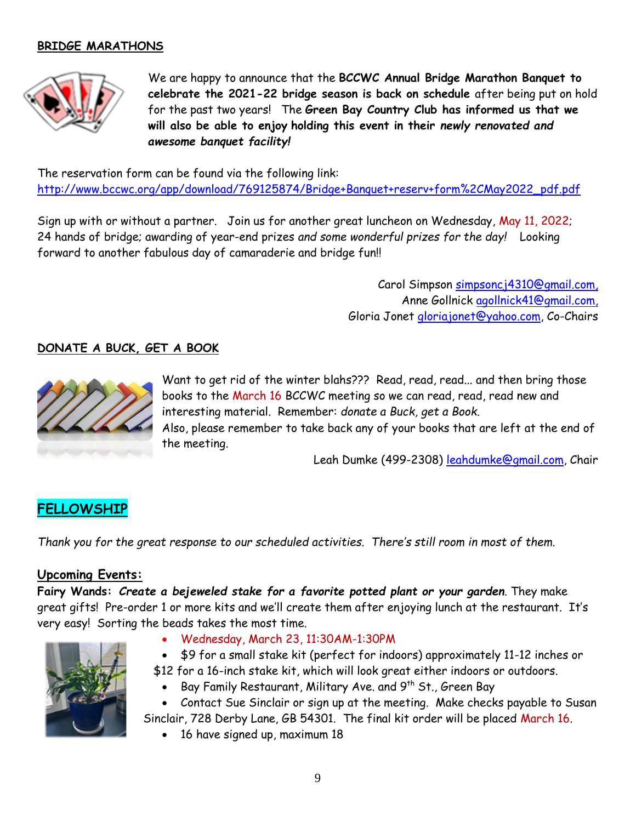## **BRIDGE MARATHONS**



We are happy to announce that the **BCCWC Annual Bridge Marathon Banquet to celebrate the 2021-22 bridge season is back on schedule** after being put on hold for the past two years! The **Green Bay Country Club has informed us that we will also be able to enjoy holding this event in their** *newly renovated and awesome banquet facility!*

The reservation form can be found via the following link: [http://www.bccwc.org/app/download/769125874/Bridge+Banquet+reserv+form%2CMay2022\\_pdf.pdf](http://www.bccwc.org/app/download/769125874/Bridge+Banquet+reserv+form%2CMay2022_pdf.pdf)

Sign up with or without a partner. Join us for another great luncheon on Wednesday, May 11, 2022; 24 hands of bridge; awarding of year-end prizes *and some wonderful prizes for the day!* Looking forward to another fabulous day of camaraderie and bridge fun!!

> Carol Simpson [simpsoncj4310@gmail.com,](mailto:simpsoncj4310@gmail.com) Anne Gollnick [agollnick41@gmail.com,](mailto:agollnick41@gmail.com) Gloria Jonet [gloriajonet@yahoo.com,](mailto:gloriajonet@yahoo.com) Co-Chairs

#### **DONATE A BUCK, GET A BOOK**



Want to get rid of the winter blahs??? Read, read, read... and then bring those books to the March 16 BCCWC meeting so we can read, read, read new and interesting material. Remember: *donate a Buck, get a Book*. Also, please remember to take back any of your books that are left at the end of the meeting.

Leah Dumke (499-2308) [leahdumke@gmail.com,](mailto:leahdumke@gmail.com) Chair

# **FELLOWSHIP**

*Thank you for the great response to our scheduled activities. There's still room in most of them.*

#### **Upcoming Events:**

**Fairy Wands:** *Create a bejeweled stake for a favorite potted plant or your garden*. They make great gifts! Pre-order 1 or more kits and we'll create them after enjoying lunch at the restaurant. It's very easy! Sorting the beads takes the most time.



- Wednesday, March 23, 11:30AM-1:30PM
- \$9 for a small stake kit (perfect for indoors) approximately 11-12 inches or
- \$12 for a 16-inch stake kit, which will look great either indoors or outdoors.
	- Bay Family Restaurant, Military Ave. and  $9^{\text{th}}$  St., Green Bay

• Contact Sue Sinclair or sign up at the meeting. Make checks payable to Susan Sinclair, 728 Derby Lane, GB 54301. The final kit order will be placed March 16.

• 16 have signed up, maximum 18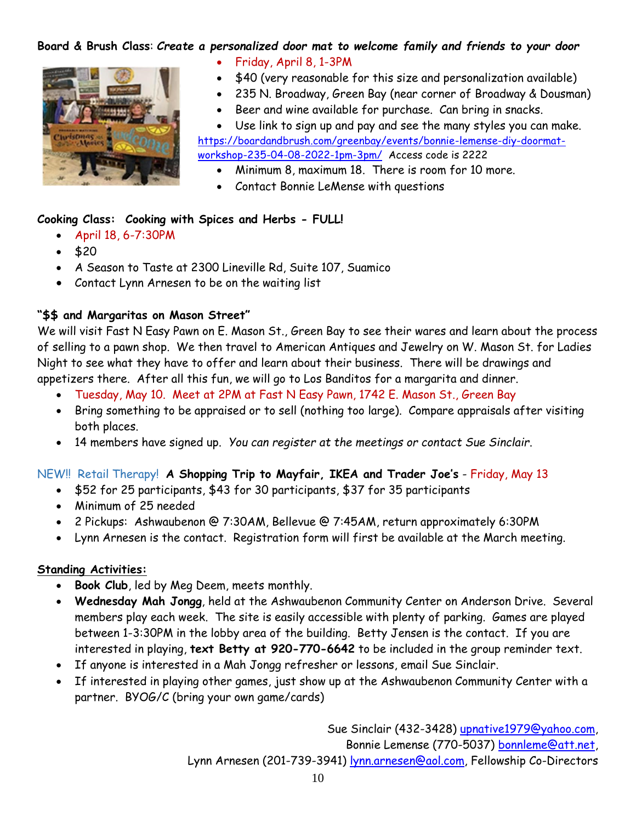## **Board & Brush Class**: *Create a personalized door mat to welcome family and friends to your door*



- Friday, April 8, 1-3PM
- \$40 (very reasonable for this size and personalization available)
- 235 N. Broadway, Green Bay (near corner of Broadway & Dousman)
- Beer and wine available for purchase. Can bring in snacks.

Use link to sign up and pay and see the many styles you can make. [https://boardandbrush.com/greenbay/events/bonnie](https://boardandbrush.com/greenbay/events/bonnie-lemense-diy-doormat-workshop-235-04-08-2022-1pm-3pm/)-lemense-diy-doormat[workshop](https://boardandbrush.com/greenbay/events/bonnie-lemense-diy-doormat-workshop-235-04-08-2022-1pm-3pm/)-235-04-08-2022-1pm-3pm/ Access code is 2222

- Minimum 8, maximum 18. There is room for 10 more.
- Contact Bonnie LeMense with questions

#### **Cooking Class: Cooking with Spices and Herbs - FULL!**

- April 18, 6-7:30PM
- \$20
- A Season to Taste at 2300 Lineville Rd, Suite 107, Suamico
- Contact Lynn Arnesen to be on the waiting list

## **"\$\$ and Margaritas on Mason Street"**

We will visit Fast N Easy Pawn on E. Mason St., Green Bay to see their wares and learn about the process of selling to a pawn shop. We then travel to American Antiques and Jewelry on W. Mason St. for Ladies Night to see what they have to offer and learn about their business. There will be drawings and appetizers there. After all this fun, we will go to Los Banditos for a margarita and dinner.

- Tuesday, May 10. Meet at 2PM at Fast N Easy Pawn, 1742 E. Mason St., Green Bay
- Bring something to be appraised or to sell (nothing too large). Compare appraisals after visiting both places.
- 14 members have signed up. *You can register at the meetings or contact Sue Sinclair*.

#### NEW!! Retail Therapy! **A Shopping Trip to Mayfair, IKEA and Trader Joe's** - Friday, May 13

- \$52 for 25 participants, \$43 for 30 participants, \$37 for 35 participants
- Minimum of 25 needed
- 2 Pickups: Ashwaubenon @ 7:30AM, Bellevue @ 7:45AM, return approximately 6:30PM
- Lynn Arnesen is the contact. Registration form will first be available at the March meeting.

#### **Standing Activities:**

- **Book Club**, led by Meg Deem, meets monthly.
- **Wednesday Mah Jongg**, held at the Ashwaubenon Community Center on Anderson Drive. Several members play each week. The site is easily accessible with plenty of parking. Games are played between 1-3:30PM in the lobby area of the building. Betty Jensen is the contact. If you are interested in playing, **text Betty at 920-770-6642** to be included in the group reminder text.
- If anyone is interested in a Mah Jongg refresher or lessons, email Sue Sinclair.
- If interested in playing other games, just show up at the Ashwaubenon Community Center with a partner. BYOG/C (bring your own game/cards)

Sue Sinclair (432-3428) [upnative1979@yahoo.com,](mailto:upnative1979@yahoo.com) Bonnie Lemense (770-5037) [bonnleme@att.net,](mailto:bonnleme@att.net) Lynn Arnesen (201-739-3941) [lynn.arnesen@aol.com,](mailto:lynn.arnesen@aol.com) Fellowship Co-Directors